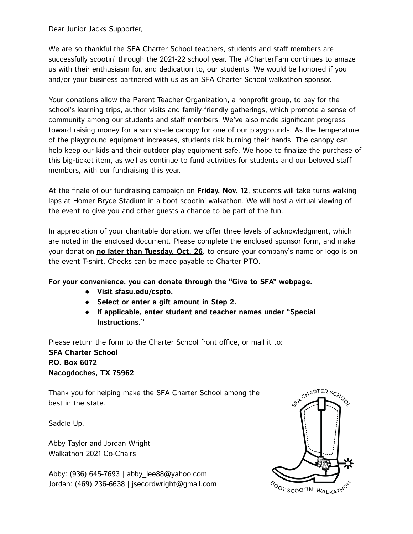Dear Junior Jacks Supporter,

We are so thankful the SFA Charter School teachers, students and staff members are successfully scootin' through the 2021-22 school year. The #CharterFam continues to amaze us with their enthusiasm for, and dedication to, our students. We would be honored if you and/or your business partnered with us as an SFA Charter School walkathon sponsor.

Your donations allow the Parent Teacher Organization, a nonprofit group, to pay for the school's learning trips, author visits and family-friendly gatherings, which promote a sense of community among our students and staff members. We've also made significant progress toward raising money for a sun shade canopy for one of our playgrounds. As the temperature of the playground equipment increases, students risk burning their hands. The canopy can help keep our kids and their outdoor play equipment safe. We hope to finalize the purchase of this big-ticket item, as well as continue to fund activities for students and our beloved staff members, with our fundraising this year.

At the finale of our fundraising campaign on **Friday, Nov. 12**, students will take turns walking laps at Homer Bryce Stadium in a boot scootin' walkathon. We will host a virtual viewing of the event to give you and other guests a chance to be part of the fun.

In appreciation of your charitable donation, we offer three levels of acknowledgment, which are noted in the enclosed document. Please complete the enclosed sponsor form, and make your donation **no later than Tuesday, Oct. 26,** to ensure your company's name or logo is on the event T-shirt. Checks can be made payable to Charter PTO.

#### **For your convenience, you can donate through the "Give to SFA" webpage.**

- **● Visit sfasu.edu/cspto.**
- **● Select or enter a gift amount in Step 2.**
- **● If applicable, enter student and teacher names under "Special Instructions."**

Please return the form to the Charter School front office, or mail it to: **SFA Charter School P.O. Box 6072 Nacogdoches, TX 75962**

Thank you for helping make the SFA Charter School among the best in the state.

Saddle Up,

Abby Taylor and Jordan Wright Walkathon 2021 Co-Chairs

Abby: (936) 645-7693 | abby\_lee88@yahoo.com Jordan: (469) 236-6638 | jsecordwright@gmail.com

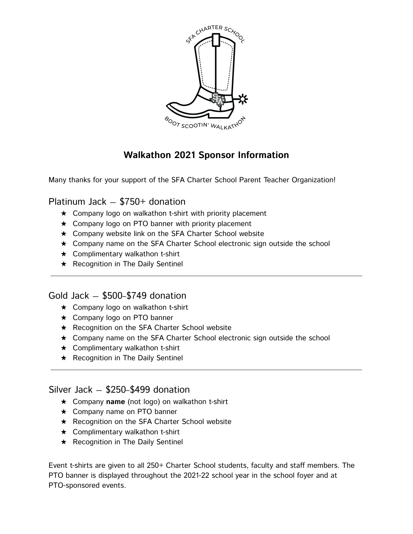

## **Walkathon 2021 Sponsor Information**

Many thanks for your support of the SFA Charter School Parent Teacher Organization!

### Platinum Jack — \$750+ donation

- $\star$  Company logo on walkathon t-shirt with priority placement
- ★ Company logo on PTO banner with priority placement
- ★ Company website link on the SFA Charter School website
- ★ Company name on the SFA Charter School electronic sign outside the school
- $\star$  Complimentary walkathon t-shirt
- ★ Recognition in The Daily Sentinel

### Gold Jack — \$500–\$749 donation

- ★ Company logo on walkathon t-shirt
- ★ Company logo on PTO banner
- ★ Recognition on the SFA Charter School website
- ★ Company name on the SFA Charter School electronic sign outside the school
- $\star$  Complimentary walkathon t-shirt
- ★ Recognition in The Daily Sentinel

### Silver Jack — \$250–\$499 donation

- ★ Company **name** (not logo) on walkathon t-shirt
- ★ Company name on PTO banner
- ★ Recognition on the SFA Charter School website
- $\star$  Complimentary walkathon t-shirt
- ★ Recognition in The Daily Sentinel

Event t-shirts are given to all 250+ Charter School students, faculty and staff members. The PTO banner is displayed throughout the 2021-22 school year in the school foyer and at PTO-sponsored events.